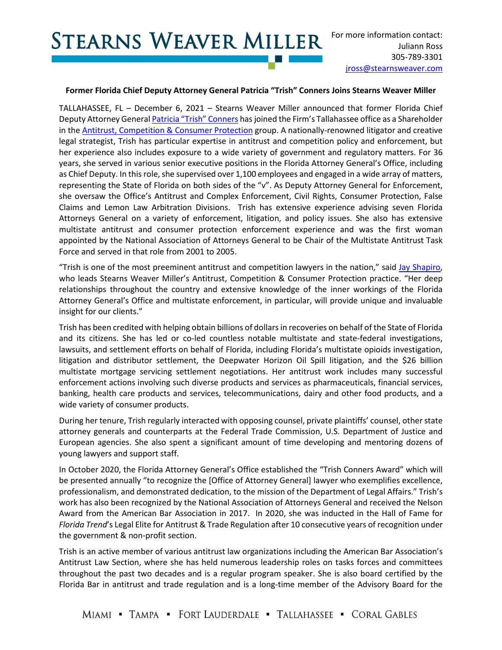## **STEARNS WEAVER MILLER**

## **Former Florida Chief Deputy Attorney General Patricia "Trish" Conners Joins Stearns Weaver Miller**

TALLAHASSEE, FL – December 6, 2021 – Stearns Weaver Miller announced that former Florida Chief Deputy Attorney Genera[l Patricia "Trish" Conners](https://www.stearnsweaver.com/attorneys/patricia-conners) has joined the Firm's Tallahassee office as a Shareholder in the Antitrust, Competition [& Consumer Protection](https://www.stearnsweaver.com/practices/antitrust-competition-consumer-protection/) group. A nationally-renowned litigator and creative legal strategist, Trish has particular expertise in antitrust and competition policy and enforcement, but her experience also includes exposure to a wide variety of government and regulatory matters. For 36 years, she served in various senior executive positions in the Florida Attorney General's Office, including as Chief Deputy. In this role, she supervised over 1,100 employees and engaged in a wide array of matters, representing the State of Florida on both sides of the "v". As Deputy Attorney General for Enforcement, she oversaw the Office's Antitrust and Complex Enforcement, Civil Rights, Consumer Protection, False Claims and Lemon Law Arbitration Divisions. Trish has extensive experience advising seven Florida Attorneys General on a variety of enforcement, litigation, and policy issues. She also has extensive multistate antitrust and consumer protection enforcement experience and was the first woman appointed by the National Association of Attorneys General to be Chair of the Multistate Antitrust Task Force and served in that role from 2001 to 2005.

"Trish is one of the most preeminent antitrust and competition lawyers in the nation," said [Jay Shapiro,](https://www.stearnsweaver.com/attorneys/jay-shapiro/)  who leads Stearns Weaver Miller's Antitrust, Competition & Consumer Protection practice. "Her deep relationships throughout the country and extensive knowledge of the inner workings of the Florida Attorney General's Office and multistate enforcement, in particular, will provide unique and invaluable insight for our clients."

Trish has been credited with helping obtain billions of dollars in recoveries on behalf of the State of Florida and its citizens. She has led or co-led countless notable multistate and state-federal investigations, lawsuits, and settlement efforts on behalf of Florida, including Florida's multistate opioids investigation, litigation and distributor settlement, the Deepwater Horizon Oil Spill litigation, and the \$26 billion multistate mortgage servicing settlement negotiations. Her antitrust work includes many successful enforcement actions involving such diverse products and services as pharmaceuticals, financial services, banking, health care products and services, telecommunications, dairy and other food products, and a wide variety of consumer products.

During her tenure, Trish regularly interacted with opposing counsel, private plaintiffs' counsel, other state attorney generals and counterparts at the Federal Trade Commission, U.S. Department of Justice and European agencies. She also spent a significant amount of time developing and mentoring dozens of young lawyers and support staff.

In October 2020, the Florida Attorney General's Office established the "Trish Conners Award" which will be presented annually "to recognize the [Office of Attorney General] lawyer who exemplifies excellence, professionalism, and demonstrated dedication, to the mission of the Department of Legal Affairs." Trish's work has also been recognized by the National Association of Attorneys General and received the Nelson Award from the American Bar Association in 2017. In 2020, she was inducted in the Hall of Fame for *Florida Trend*'s Legal Elite for Antitrust & Trade Regulation after 10 consecutive years of recognition under the government & non-profit section.

Trish is an active member of various antitrust law organizations including the American Bar Association's Antitrust Law Section, where she has held numerous leadership roles on tasks forces and committees throughout the past two decades and is a regular program speaker. She is also board certified by the Florida Bar in antitrust and trade regulation and is a long-time member of the Advisory Board for the